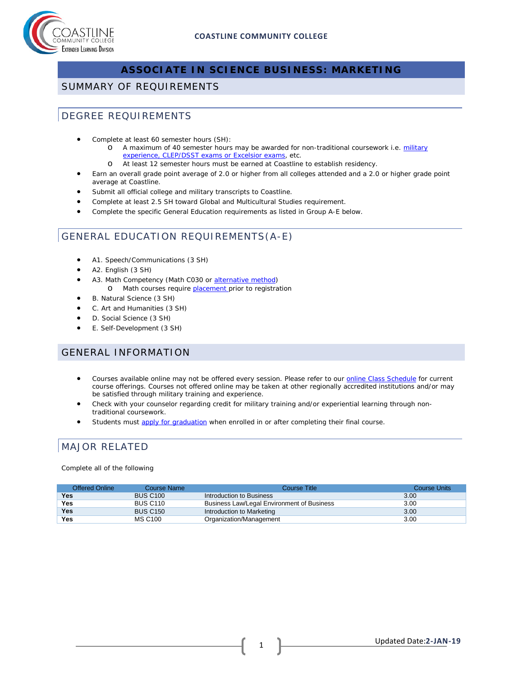

## **ASSOCIATE IN SCIENCE BUSINESS: MARKETING**

### SUMMARY OF REQUIREMENTS

### DEGREE REQUIREMENTS

- Complete at least 60 semester hours (SH):
	- o A maximum of 40 semester hours may be awarded for non-traditional coursework i.e. military [experience, CLEP/DSST exams or Excelsior exams,](http://military.coastline.edu/page.cfm?LinkID=1473) etc.
	- o At least 12 semester hours must be earned at Coastline to establish residency.
- Earn an overall grade point average of 2.0 or higher from all colleges attended and a 2.0 or higher grade point average at Coastline.
- Submit all official college and military transcripts to Coastline.
- Complete at least 2.5 SH toward Global and Multicultural Studies requirement.
- Complete the specific General Education requirements as listed in Group A-E below.

### GENERAL EDUCATION REQUIREMENTS(A-E)

- A1. Speech/Communications (3 SH)
- A2. English (3 SH)
- A3. Math Competency (Math C030 or [alternative method\)](http://military.coastline.edu/forms/page.cfm?LinkID=1446)
	- o Math courses require **placement** prior to registration
- B. Natural Science (3 SH)
- C. Art and Humanities (3 SH)
- D. Social Science (3 SH)
- E. Self-Development (3 SH)

### GENERAL INFORMATION

- Courses available online may not be offered every session. Please refer to our **online Class Schedule** for current course offerings. Courses not offered online may be taken at other regionally accredited institutions and/or may be satisfied through military training and experience.
- Check with your counselor regarding credit for military training and/or experiential learning through nontraditional coursework.
- Students must [apply for graduation](http://military.coastline.edu/active-duty/page.cfm?LinkID=1437) when enrolled in or after completing their final course.

# MAJOR RELATED

Complete all of the following

| Offered Online | Course Name     | Course Title                               | Course Units |
|----------------|-----------------|--------------------------------------------|--------------|
| Yes            | <b>BUS C100</b> | Introduction to Business                   | 3.00         |
| Yes            | <b>BUS C110</b> | Business Law/Legal Environment of Business | 3.00         |
| Yes            | <b>BUS C150</b> | Introduction to Marketing                  | 3.00         |
| Yes            | <b>MS C100</b>  | Organization/Management                    | 3.00         |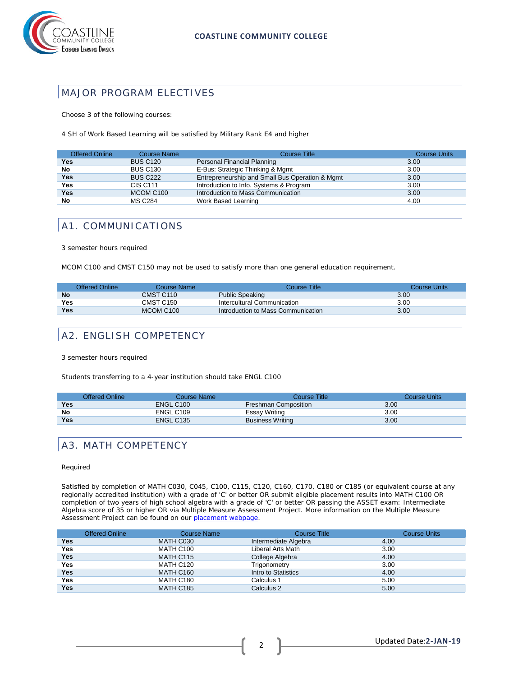

## MAJOR PROGRAM ELECTIVES

Choose 3 of the following courses:

4 SH of Work Based Learning will be satisfied by Military Rank E4 and higher

| <b>Offered Online</b> | <b>Course Name</b> | <b>Course Title</b>                             | <b>Course Units</b> |
|-----------------------|--------------------|-------------------------------------------------|---------------------|
| Yes                   | <b>BUS C120</b>    | Personal Financial Planning                     | 3.00                |
| No                    | <b>BUS C130</b>    | E-Bus: Strategic Thinking & Mgmt                | 3.00                |
| <b>Yes</b>            | <b>BUS C222</b>    | Entrepreneurship and Small Bus Operation & Mgmt | 3.00                |
| Yes                   | <b>CIS C111</b>    | Introduction to Info. Systems & Program         | 3.00                |
| Yes                   | MCOM C100          | Introduction to Mass Communication              | 3.00                |
| No                    | <b>MS C284</b>     | Work Based Learning                             | 4.00                |

### A1. COMMUNICATIONS

3 semester hours required

MCOM C100 and CMST C150 may not be used to satisfy more than one general education requirement.

|           | Offered Online | Course Name           | Course Title                       | Course Units |
|-----------|----------------|-----------------------|------------------------------------|--------------|
| <b>No</b> |                | CMST C110             | <b>Public Speaking</b>             | 3.00         |
| Yes       |                | CMST C150             | Intercultural Communication        | 3.00         |
| Yes       |                | MCOM C <sub>100</sub> | Introduction to Mass Communication | 3.00         |

## A2. ENGLISH COMPETENCY

3 semester hours required

Students transferring to a 4-year institution should take ENGL C100

|            | Offered Online | Course Name           | Course Title                | Course Units      |
|------------|----------------|-----------------------|-----------------------------|-------------------|
| Yes        |                | ENGL C <sub>100</sub> | <b>Freshman Composition</b> | 3.00 <sub>°</sub> |
| No         |                | ENGL C109             | Essay Writing               | 3.00              |
| <b>Yes</b> |                | ENGL C135             | <b>Business Writing</b>     | 3.00              |

### A3. MATH COMPETENCY

#### Required

Satisfied by completion of MATH C030, C045, C100, C115, C120, C160, C170, C180 or C185 (or equivalent course at any regionally accredited institution) with a grade of 'C' or better OR submit eligible placement results into MATH C100 OR completion of two years of high school algebra with a grade of 'C' or better OR passing the ASSET exam: Intermediate Algebra score of 35 or higher OR via Multiple Measure Assessment Project. More information on the Multiple Measure Assessment Project can be found on our [placement webpage.](http://military.coastline.edu/active-duty/page.cfm?LinkID=1446)

|            | Offered Online | <b>Course Name</b> | <b>Course Title</b>  | <b>Course Units</b> |
|------------|----------------|--------------------|----------------------|---------------------|
| Yes        |                | MATH C030          | Intermediate Algebra | 4.00                |
| Yes        |                | MATH C100          | Liberal Arts Math    | 3.00                |
| <b>Yes</b> |                | MATH C115          | College Algebra      | 4.00                |
| Yes        |                | MATH C120          | Trigonometry         | 3.00                |
| <b>Yes</b> |                | <b>MATH C160</b>   | Intro to Statistics  | 4.00                |
| <b>Yes</b> |                | MATH C180          | Calculus 1           | 5.00                |
| Yes        |                | <b>MATH C185</b>   | Calculus 2           | 5.00                |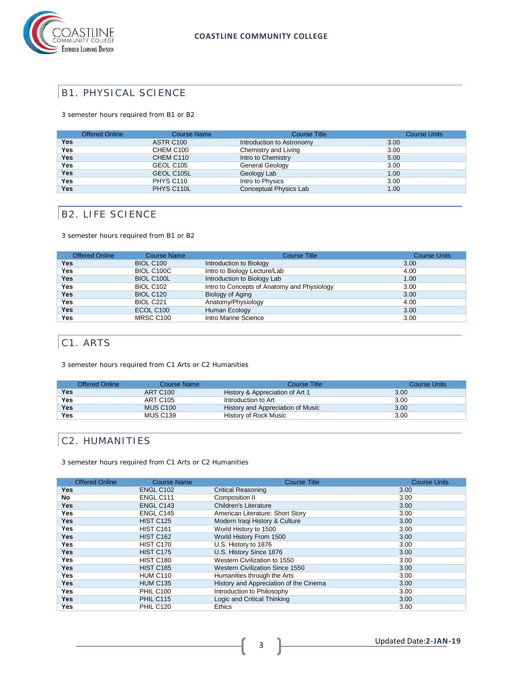

### B1. PHYSICAL SCIENCE

3 semester hours required from B1 or B2

|            | <b>Offered Online</b> | <b>Course Name</b> | <b>Course Title</b>       | <b>Course Units</b> |
|------------|-----------------------|--------------------|---------------------------|---------------------|
| Yes        |                       | ASTR C100          | Introduction to Astronomy | 3.00                |
| Yes        |                       | CHEM C100          | Chemistry and Living      | 3.00                |
| Yes        |                       | CHEM C110          | Intro to Chemistry        | 5.00                |
| Yes        |                       | GEOL C105          | General Geology           | 3.00                |
| Yes        |                       | GEOL C105L         | Geology Lab               | 1.00                |
| <b>Yes</b> |                       | PHYS C110          | Intro to Physics          | 3.00                |
| Yes        |                       | PHYS C110L         | Conceptual Physics Lab    | 1.00                |

## B2. LIFE SCIENCE

3 semester hours required from B1 or B2

| <b>Offered Online</b> | <b>Course Name</b> | <b>Course Title</b>                         | <b>Course Units</b> |
|-----------------------|--------------------|---------------------------------------------|---------------------|
| <b>Yes</b>            | <b>BIOL C100</b>   | Introduction to Biology                     | 3.00                |
| Yes                   | BIOL C100C         | Intro to Biology Lecture/Lab                | 4.00                |
| <b>Yes</b>            | <b>BIOL C100L</b>  | Introduction to Biology Lab                 | 1.00                |
| Yes                   | <b>BIOL C102</b>   | Intro to Concepts of Anatomy and Physiology | 3.00                |
| <b>Yes</b>            | <b>BIOL C120</b>   | Biology of Aging                            | 3.00                |
| <b>Yes</b>            | BIOL C221          | Anatomy/Physiology                          | 4.00                |
| <b>Yes</b>            | ECOL C100          | Human Ecology                               | 3.00                |
| <b>Yes</b>            | MRSC C100          | Intro Marine Science                        | 3.00                |

# C1. ARTS

3 semester hours required from C1 Arts or C2 Humanities

|            | Offered Online<br>Course Name | Course Title                      | Course Units |
|------------|-------------------------------|-----------------------------------|--------------|
| Yes        | ART C100                      | History & Appreciation of Art 1   | 3.00         |
| Yes        | <b>ART C105</b>               | Introduction to Art               | 3.00         |
| <b>Yes</b> | <b>MUS C100</b>               | History and Appreciation of Music | 3.00         |
| Yes        | <b>MUS C139</b>               | History of Rock Music             | 3.00         |

### C2. HUMANITIES

3 semester hours required from C1 Arts or C2 Humanities

| <b>Offered Online</b> | <b>Course Name</b> | <b>Course Title</b>                    | <b>Course Units</b> |
|-----------------------|--------------------|----------------------------------------|---------------------|
| Yes                   | ENGL C102          | <b>Critical Reasoning</b>              | 3.00                |
| No                    | ENGL C111          | Composition II                         | 3.00                |
| Yes                   | ENGL C143          | Children's Literature                  | 3.00                |
| Yes                   | ENGL C145          | American Literature: Short Story       | 3.00                |
| Yes                   | <b>HIST C125</b>   | Modern Iraqi History & Culture         | 3.00                |
| Yes.                  | <b>HIST C161</b>   | World History to 1500                  | 3.00                |
| Yes                   | <b>HIST C162</b>   | World History From 1500                | 3.00                |
| Yes                   | HIST C170          | U.S. History to 1876                   | 3.00                |
| Yes.                  | <b>HIST C175</b>   | U.S. History Since 1876                | 3.00                |
| Yes                   | <b>HIST C180</b>   | Western Civilization to 1550           | 3.00                |
| Yes                   | <b>HIST C185</b>   | Western Civilization Since 1550        | 3.00                |
| Yes.                  | <b>HUM C110</b>    | Humanities through the Arts            | 3.00                |
| Yes                   | <b>HUM C135</b>    | History and Appreciation of the Cinema | 3.00                |
| Yes.                  | <b>PHIL C100</b>   | Introduction to Philosophy             | 3.00                |
| Yes                   | <b>PHIL C115</b>   | Logic and Critical Thinking            | 3.00                |
| Yes                   | <b>PHIL C120</b>   | <b>Ethics</b>                          | 3.00                |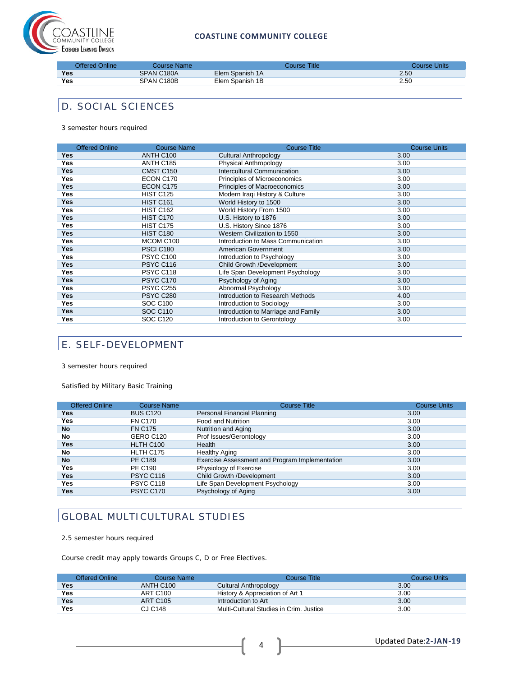

### **COASTLINE COMMUNITY COLLEGE**

| Offered Online | Course Name: | Course Title:   | Course Units |
|----------------|--------------|-----------------|--------------|
| <b>Yes</b>     | SPAN C180A   | Elem Spanish 1A | 2.50         |
| <b>Yes</b>     | SPAN C180B   | Elem Spanish 1B | 2.50         |

### D. SOCIAL SCIENCES

3 semester hours required

| <b>Offered Online</b> | <b>Course Name</b> | <b>Course Title</b>                 | <b>Course Units</b> |
|-----------------------|--------------------|-------------------------------------|---------------------|
| <b>Yes</b>            | ANTH C100          | Cultural Anthropology               | 3.00                |
| <b>Yes</b>            | ANTH C185          | Physical Anthropology               | 3.00                |
| <b>Yes</b>            | CMST C150          | <b>Intercultural Communication</b>  | 3.00                |
| <b>Yes</b>            | ECON C170          | Principles of Microeconomics        | 3.00                |
| <b>Yes</b>            | ECON C175          | Principles of Macroeconomics        | 3.00                |
| <b>Yes</b>            | <b>HIST C125</b>   | Modern Iraqi History & Culture      | 3.00                |
| <b>Yes</b>            | <b>HIST C161</b>   | World History to 1500               | 3.00                |
| <b>Yes</b>            | <b>HIST C162</b>   | World History From 1500             | 3.00                |
| <b>Yes</b>            | HIST C170          | U.S. History to 1876                | 3.00                |
| <b>Yes</b>            | <b>HIST C175</b>   | U.S. History Since 1876             | 3.00                |
| <b>Yes</b>            | HIST C180          | Western Civilization to 1550        | 3.00                |
| <b>Yes</b>            | MCOM C100          | Introduction to Mass Communication  | 3.00                |
| <b>Yes</b>            | <b>PSCI C180</b>   | American Government                 | 3.00                |
| Yes                   | <b>PSYC C100</b>   | Introduction to Psychology          | 3.00                |
| <b>Yes</b>            | <b>PSYC C116</b>   | Child Growth /Development           | 3.00                |
| <b>Yes</b>            | PSYC C118          | Life Span Development Psychology    | 3.00                |
| Yes                   | <b>PSYC C170</b>   | Psychology of Aging                 | 3.00                |
| <b>Yes</b>            | <b>PSYC C255</b>   | Abnormal Psychology                 | 3.00                |
| <b>Yes</b>            | <b>PSYC C280</b>   | Introduction to Research Methods    | 4.00                |
| <b>Yes</b>            | <b>SOC C100</b>    | Introduction to Sociology           | 3.00                |
| <b>Yes</b>            | <b>SOC C110</b>    | Introduction to Marriage and Family | 3.00                |
| Yes                   | <b>SOC C120</b>    | Introduction to Gerontology         | 3.00                |

# E. SELF-DEVELOPMENT

3 semester hours required

Satisfied by Military Basic Training

| <b>Offered Online</b> | <b>Course Name</b> | <b>Course Title</b>                            | <b>Course Units</b> |
|-----------------------|--------------------|------------------------------------------------|---------------------|
| <b>Yes</b>            | <b>BUS C120</b>    | Personal Financial Planning                    | 3.00                |
| Yes                   | <b>FN C170</b>     | <b>Food and Nutrition</b>                      | 3.00                |
| <b>No</b>             | <b>FN C175</b>     | Nutrition and Aging                            | 3.00                |
| No                    | GERO C120          | Prof Issues/Gerontology                        | 3.00                |
| <b>Yes</b>            | HLTH C100          | Health                                         | 3.00                |
| No                    | HLTH C175          | <b>Healthy Aging</b>                           | 3.00                |
| <b>No</b>             | <b>PE C189</b>     | Exercise Assessment and Program Implementation | 3.00                |
| Yes                   | <b>PE C190</b>     | Physiology of Exercise                         | 3.00                |
| <b>Yes</b>            | PSYC C116          | Child Growth /Development                      | 3.00                |
| Yes                   | PSYC C118          | Life Span Development Psychology               | 3.00                |
| <b>Yes</b>            | PSYC C170          | Psychology of Aging                            | 3.00                |

# GLOBAL MULTICULTURAL STUDIES

2.5 semester hours required

Course credit may apply towards Groups C, D or Free Electives.

| <b>Offered Online</b> | Course Name           | Course Title                            | Course Units |
|-----------------------|-----------------------|-----------------------------------------|--------------|
| Yes                   | ANTH C <sub>100</sub> | Cultural Anthropology                   | 3.00         |
| Yes                   | ART C100              | History & Appreciation of Art 1         | 3.00         |
| Yes                   | ART C <sub>105</sub>  | Introduction to Art                     | 3.00         |
| Yes                   | CJ C148               | Multi-Cultural Studies in Crim. Justice | 3.00         |